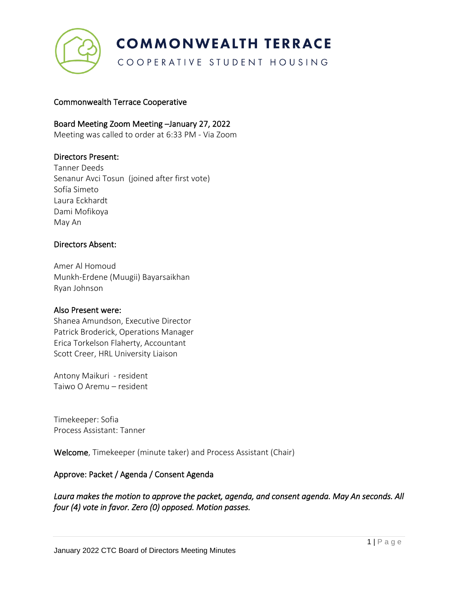

# **COMMONWEALTH TERRACE**

COOPERATIVE STUDENT HOUSING

### Commonwealth Terrace Cooperative

### Board Meeting Zoom Meeting –January 27, 2022

Meeting was called to order at 6:33 PM - Via Zoom

### Directors Present:

Tanner Deeds Senanur Avci Tosun (joined after first vote) Sofía Simeto Laura Eckhardt Dami Mofikoya May An

### Directors Absent:

Amer Al Homoud Munkh-Erdene (Muugii) Bayarsaikhan Ryan Johnson

#### Also Present were:

Shanea Amundson, Executive Director Patrick Broderick, Operations Manager Erica Torkelson Flaherty, Accountant Scott Creer, HRL University Liaison

Antony Maikuri - resident Taiwo O Aremu – resident

Timekeeper: Sofia Process Assistant: Tanner

Welcome, Timekeeper (minute taker) and Process Assistant (Chair)

### Approve: Packet / Agenda / Consent Agenda

*Laura makes the motion to approve the packet, agenda, and consent agenda. May An seconds. All four (4) vote in favor. Zero (0) opposed. Motion passes.*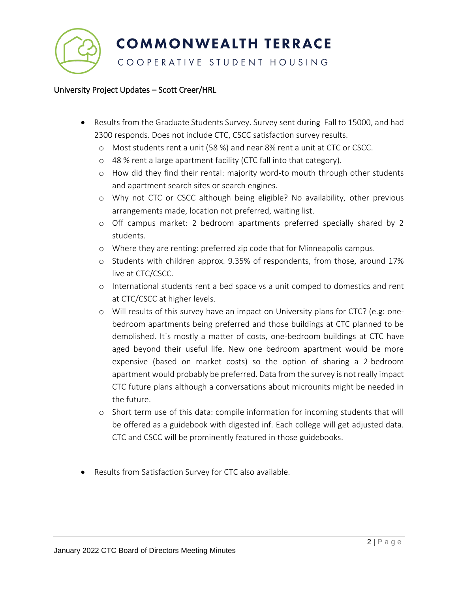**COMMONWEALTH TERRACE** 

## COOPERATIVE STUDENT HOUSING

### University Project Updates – Scott Creer/HRL

- Results from the Graduate Students Survey. Survey sent during Fall to 15000, and had 2300 responds. Does not include CTC, CSCC satisfaction survey results.
	- o Most students rent a unit (58 %) and near 8% rent a unit at CTC or CSCC.
	- o 48 % rent a large apartment facility (CTC fall into that category).
	- o How did they find their rental: majority word-to mouth through other students and apartment search sites or search engines.
	- o Why not CTC or CSCC although being eligible? No availability, other previous arrangements made, location not preferred, waiting list.
	- o Off campus market: 2 bedroom apartments preferred specially shared by 2 students.
	- o Where they are renting: preferred zip code that for Minneapolis campus.
	- o Students with children approx. 9.35% of respondents, from those, around 17% live at CTC/CSCC.
	- o International students rent a bed space vs a unit comped to domestics and rent at CTC/CSCC at higher levels.
	- o Will results of this survey have an impact on University plans for CTC? (e.g: onebedroom apartments being preferred and those buildings at CTC planned to be demolished. It´s mostly a matter of costs, one-bedroom buildings at CTC have aged beyond their useful life. New one bedroom apartment would be more expensive (based on market costs) so the option of sharing a 2-bedroom apartment would probably be preferred. Data from the survey is not really impact CTC future plans although a conversations about microunits might be needed in the future.
	- o Short term use of this data: compile information for incoming students that will be offered as a guidebook with digested inf. Each college will get adjusted data. CTC and CSCC will be prominently featured in those guidebooks.
- Results from Satisfaction Survey for CTC also available.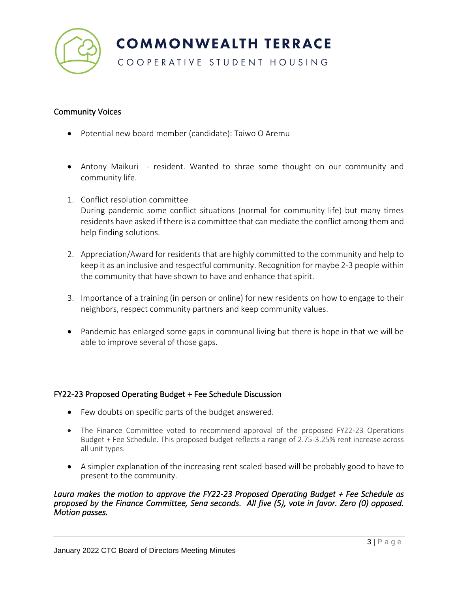

### Community Voices

- Potential new board member (candidate): Taiwo O Aremu
- Antony Maikuri resident. Wanted to shrae some thought on our community and community life.
- 1. Conflict resolution committee During pandemic some conflict situations (normal for community life) but many times residents have asked if there is a committee that can mediate the conflict among them and help finding solutions.
- 2. Appreciation/Award for residents that are highly committed to the community and help to keep it as an inclusive and respectful community. Recognition for maybe 2-3 people within the community that have shown to have and enhance that spirit.
- 3. Importance of a training (in person or online) for new residents on how to engage to their neighbors, respect community partners and keep community values.
- Pandemic has enlarged some gaps in communal living but there is hope in that we will be able to improve several of those gaps.

### FY22-23 Proposed Operating Budget + Fee Schedule Discussion

- Few doubts on specific parts of the budget answered.
- The Finance Committee voted to recommend approval of the proposed FY22-23 Operations Budget + Fee Schedule. This proposed budget reflects a range of 2.75-3.25% rent increase across all unit types.
- A simpler explanation of the increasing rent scaled-based will be probably good to have to present to the community.

#### *Laura makes the motion to approve the FY22-23 Proposed Operating Budget + Fee Schedule as proposed by the Finance Committee, Sena seconds. All five (5), vote in favor. Zero (0) opposed. Motion passes.*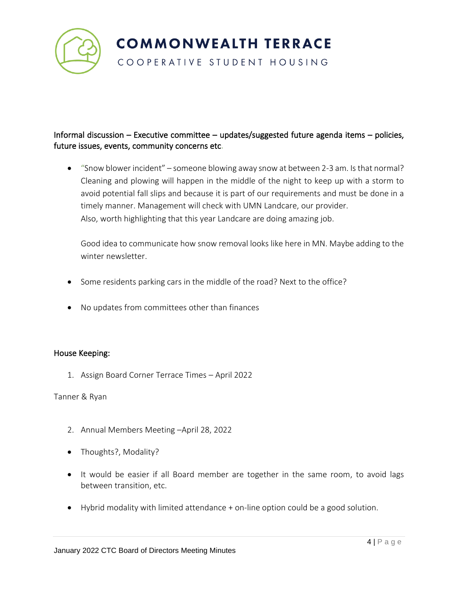

# Informal discussion – Executive committee – updates/suggested future agenda items – policies, future issues, events, community concerns etc.

• "Snow blower incident" – someone blowing away snow at between 2-3 am. Is that normal? Cleaning and plowing will happen in the middle of the night to keep up with a storm to avoid potential fall slips and because it is part of our requirements and must be done in a timely manner. Management will check with UMN Landcare, our provider. Also, worth highlighting that this year Landcare are doing amazing job.

Good idea to communicate how snow removal looks like here in MN. Maybe adding to the winter newsletter.

- Some residents parking cars in the middle of the road? Next to the office?
- No updates from committees other than finances

### House Keeping:

1. Assign Board Corner Terrace Times – April 2022

Tanner & Ryan

- 2. Annual Members Meeting –April 28, 2022
- Thoughts?, Modality?
- It would be easier if all Board member are together in the same room, to avoid lags between transition, etc.
- Hybrid modality with limited attendance + on-line option could be a good solution.